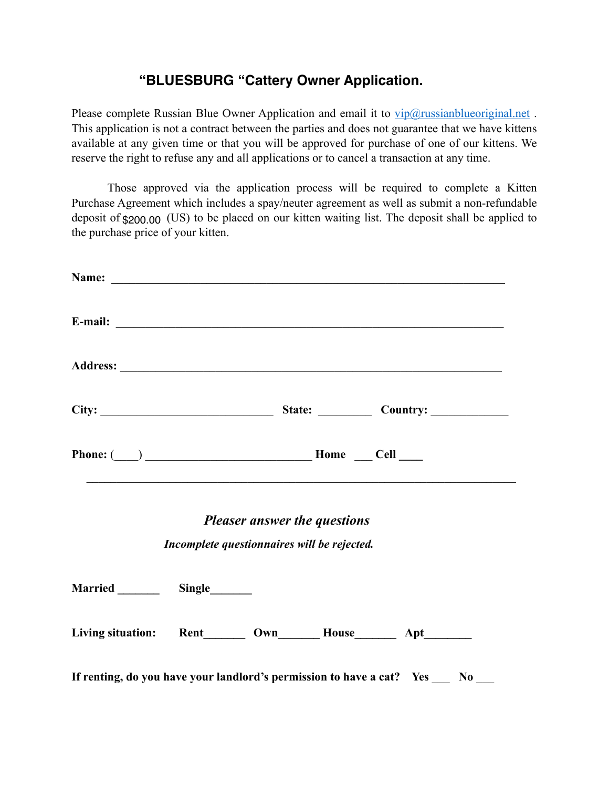## **"BLUESBURG "Cattery Owner Application.**

Please complete Russian Blue Owner Application and email it to  $\text{vir}(\hat{a})$ russianblueoriginal.net. This application is not a contract between the parties and does not guarantee that we have kittens available at any given time or that you will be approved for purchase of one of our kittens. We reserve the right to refuse any and all applications or to cancel a transaction at any time.

Those approved via the application process will be required to complete a Kitten Purchase Agreement which includes a spay/neuter agreement as well as submit a non-refundable deposit of \$200.00 (US) to be placed on our kitten waiting list. The deposit shall be applied to the purchase price of your kitten.

|                | Name: <u>Name:</u> Name: Name: Name: Name: Name: Name: Name: Name: Name: Name: Name: Name: Name: Name: Name: Name: Name: Name: Name: Name: Name: Name: Name: Name: Name: Name: Name: Name: Name: Name: Name: Name: Name: Name: Name                                                                                                                                                                                                                                                                                                                                                           |                |
|----------------|-----------------------------------------------------------------------------------------------------------------------------------------------------------------------------------------------------------------------------------------------------------------------------------------------------------------------------------------------------------------------------------------------------------------------------------------------------------------------------------------------------------------------------------------------------------------------------------------------|----------------|
|                |                                                                                                                                                                                                                                                                                                                                                                                                                                                                                                                                                                                               |                |
|                |                                                                                                                                                                                                                                                                                                                                                                                                                                                                                                                                                                                               |                |
|                | City: City: City: Country:                                                                                                                                                                                                                                                                                                                                                                                                                                                                                                                                                                    |                |
|                | $\begin{tabular}{c}  \bf Phone: (\hspace{0.3cm}) \hspace{0.3cm} \begin{tabular}{c} \textbf{\textcolor{blue}{\bf One} } \end{tabular} \end{tabular} \begin{tabular}{c} \bf Home \hspace{0.3cm} \begin{tabular}{c} \bf One \end{tabular} \end{tabular} \end{tabular} \begin{tabular}{c} \bf Some \end{tabular} \end{tabular} \begin{tabular}{c} \bf 2.41 \end{tabular} \end{tabular} \begin{tabular}{c} \bf 3.51 \end{tabular} \end{tabular} \begin{tabular}{c} \bf 3.61 \end{tabular} \begin{tabular}{c}$<br>,我们也不能在这里的时候,我们也不能在这里的时候,我们也不能在这里的时候,我们也不能会在这里的时候,我们也不能会在这里的时候,我们也不能会在这里的时候,我们也不能 |                |
|                | <b>Pleaser answer the questions</b>                                                                                                                                                                                                                                                                                                                                                                                                                                                                                                                                                           |                |
|                | Incomplete questionnaires will be rejected.                                                                                                                                                                                                                                                                                                                                                                                                                                                                                                                                                   |                |
| Married Single |                                                                                                                                                                                                                                                                                                                                                                                                                                                                                                                                                                                               |                |
|                | Living situation: Rent________ Own_________ House__________ Apt_________                                                                                                                                                                                                                                                                                                                                                                                                                                                                                                                      |                |
|                | If renting, do you have your landlord's permission to have a cat? Yes ___                                                                                                                                                                                                                                                                                                                                                                                                                                                                                                                     | N <sub>0</sub> |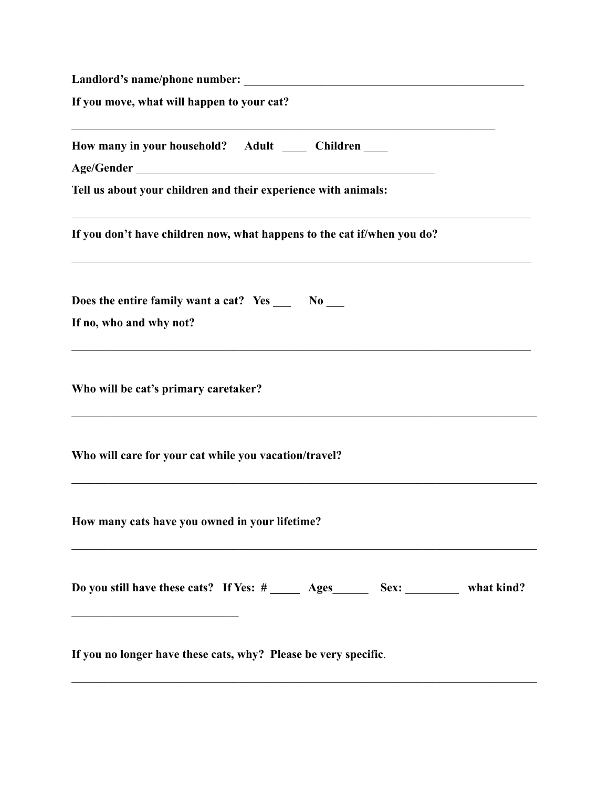| If you move, what will happen to your cat?                                               |
|------------------------------------------------------------------------------------------|
| How many in your household? Adult ______ Children ____                                   |
| Tell us about your children and their experience with animals:                           |
| If you don't have children now, what happens to the cat if/when you do?                  |
| Does the entire family want a cat? Yes ______ No ____<br>If no, who and why not?         |
| Who will be cat's primary caretaker?                                                     |
| Who will care for your cat while you vacation/travel?                                    |
| How many cats have you owned in your lifetime?                                           |
| Do you still have these cats? If Yes: # ______ Ages ________ Sex: ___________ what kind? |
| If you no longer have these cats, why? Please be very specific.                          |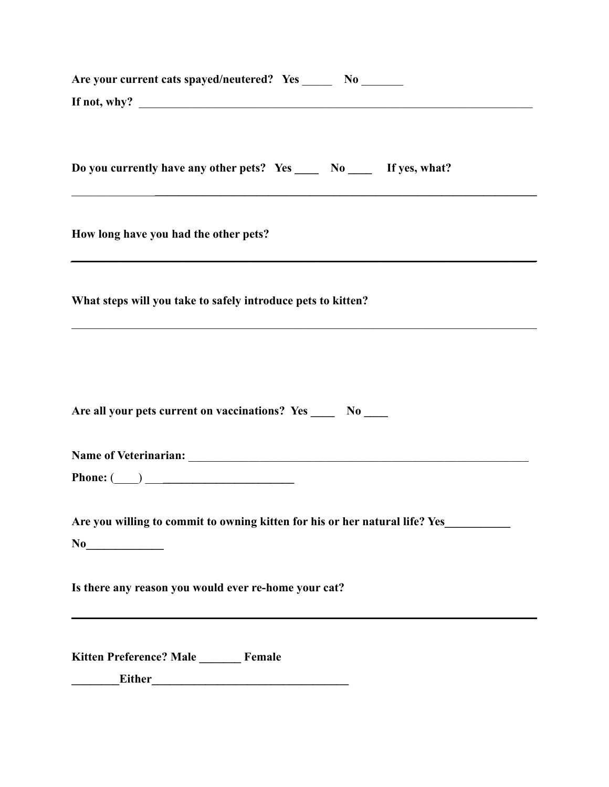| Are your current cats spayed/neutered? Yes _______ No _______                                                                                                |
|--------------------------------------------------------------------------------------------------------------------------------------------------------------|
| If not, why? $\qquad \qquad$                                                                                                                                 |
| Do you currently have any other pets? Yes ______ No ______ If yes, what?<br>,我们也不能在这里的时候,我们也不能在这里的时候,我们也不能在这里的时候,我们也不能会在这里的时候,我们也不能会在这里的时候,我们也不能会在这里的时候,我们也不 |
| How long have you had the other pets?<br>,我们也不能在这里的时候,我们也不能在这里的时候,我们也不能会在这里的时候,我们也不能会在这里的时候,我们也不能会在这里的时候,我们也不能会在这里的时候,我们也                                    |
| What steps will you take to safely introduce pets to kitten?                                                                                                 |
| Are all your pets current on vaccinations? Yes _____ No ____                                                                                                 |
|                                                                                                                                                              |
| Phone: $\qquad \qquad$                                                                                                                                       |
| Are you willing to commit to owning kitten for his or her natural life? Yes_________                                                                         |
| Is there any reason you would ever re-home your cat?                                                                                                         |
| Kitten Preference? Male ______ Female<br><b>Either</b>                                                                                                       |